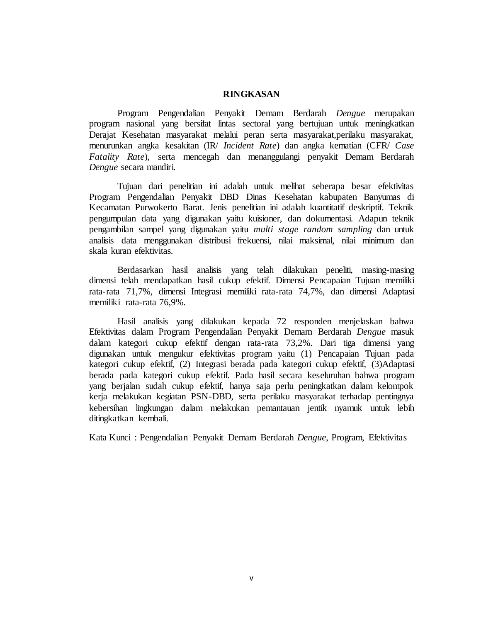## **RINGKASAN**

Program Pengendalian Penyakit Demam Berdarah *Dengue* merupakan program nasional yang bersifat lintas sectoral yang bertujuan untuk meningkatkan Derajat Kesehatan masyarakat melalui peran serta masyarakat, perilaku masyarakat, menurunkan angka kesakitan (IR/ *Incident Rate*) dan angka kematian (CFR/ *Case Fatality Rate*), serta mencegah dan menanggulangi penyakit Demam Berdarah *Dengue* secara mandiri.

Tujuan dari penelitian ini adalah untuk melihat seberapa besar efektivitas Program Pengendalian Penyakit DBD Dinas Kesehatan kabupaten Banyumas di Kecamatan Purwokerto Barat. Jenis penelitian ini adalah kuantitatif deskriptif. Teknik pengumpulan data yang digunakan yaitu kuisioner, dan dokumentasi. Adapun teknik pengambilan sampel yang digunakan yaitu *multi stage random sampling* dan untuk analisis data menggunakan distribusi frekuensi, nilai maksimal, nilai minimum dan skala kuran efektivitas*.*

Berdasarkan hasil analisis yang telah dilakukan peneliti, masing-masing dimensi telah mendapatkan hasil cukup efektif. Dimensi Pencapaian Tujuan memiliki rata-rata 71,7%, dimensi Integrasi memiliki rata-rata 74,7%, dan dimensi Adaptasi memiliki rata-rata 76,9%.

Hasil analisis yang dilakukan kepada 72 responden menjelaskan bahwa Efektivitas dalam Program Pengendalian Penyakit Demam Berdarah *Dengue* masuk dalam kategori cukup efektif dengan rata-rata 73,2%. Dari tiga dimensi yang digunakan untuk mengukur efektivitas program yaitu (1) Pencapaian Tujuan pada kategori cukup efektif, (2) Integrasi berada pada kategori cukup efektif, (3)Adaptasi berada pada kategori cukup efektif. Pada hasil secara keseluruhan bahwa program yang berjalan sudah cukup efektif, hanya saja perlu peningkatkan dalam kelompok kerja melakukan kegiatan PSN-DBD, serta perilaku masyarakat terhadap pentingnya kebersihan lingkungan dalam melakukan pemantauan jentik nyamuk untuk lebih ditingkatkan kembali.

Kata Kunci : Pengendalian Penyakit Demam Berdarah *Dengue*, Program, Efektivitas